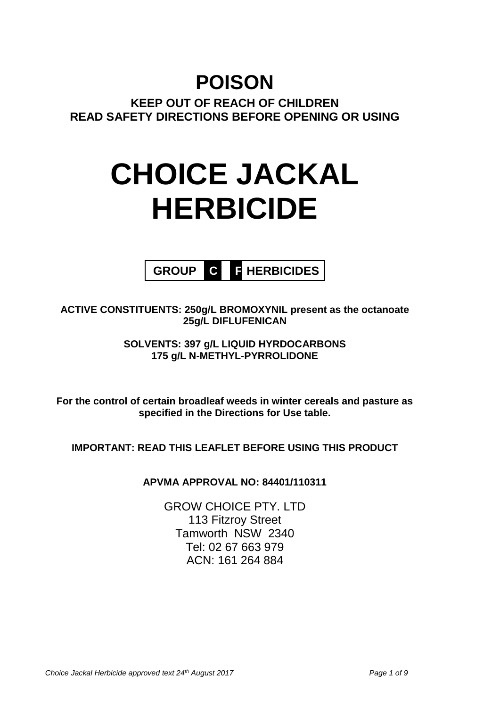# **POISON KEEP OUT OF REACH OF CHILDREN READ SAFETY DIRECTIONS BEFORE OPENING OR USING**

# **CHOICE JACKAL HERBICIDE**

**GROUP C F HERBICIDES**

**ACTIVE CONSTITUENTS: 250g/L BROMOXYNIL present as the octanoate 25g/L DIFLUFENICAN**

> **SOLVENTS: 397 g/L LIQUID HYRDOCARBONS 175 g/L N-METHYL-PYRROLIDONE**

**For the control of certain broadleaf weeds in winter cereals and pasture as specified in the Directions for Use table.** 

**IMPORTANT: READ THIS LEAFLET BEFORE USING THIS PRODUCT**

**APVMA APPROVAL NO: 84401/110311**

GROW CHOICE PTY. LTD 113 Fitzroy Street Tamworth NSW 2340 Tel: 02 67 663 979 ACN: 161 264 884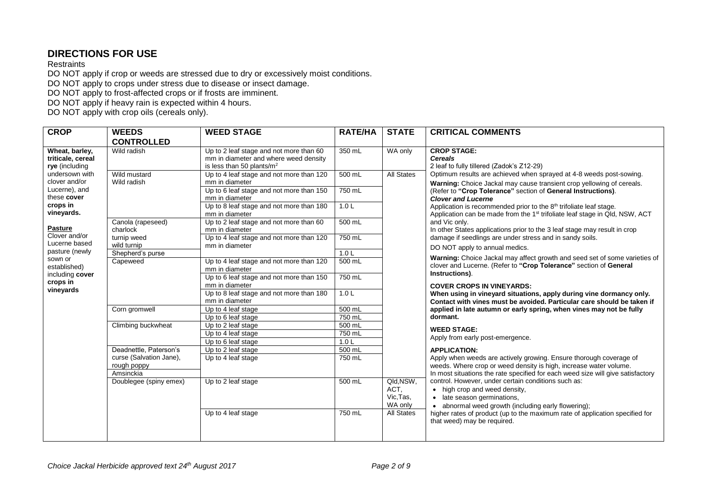# **DIRECTIONS FOR USE**

### Restraints

DO NOT apply if crop or weeds are stressed due to dry or excessively moist conditions.

DO NOT apply to crops under stress due to disease or insect damage.

DO NOT apply to frost-affected crops or if frosts are imminent.

DO NOT apply if heavy rain is expected within 4 hours.

DO NOT apply with crop oils (cereals only).

| <b>CROP</b>                                                                                                              | <b>WEEDS</b>                  | <b>WEED STAGE</b>                                                                                                | <b>RATE/HA</b>   | <b>STATE</b>                             | <b>CRITICAL COMMENTS</b>                                                                                                                                                                                                                                                                   |
|--------------------------------------------------------------------------------------------------------------------------|-------------------------------|------------------------------------------------------------------------------------------------------------------|------------------|------------------------------------------|--------------------------------------------------------------------------------------------------------------------------------------------------------------------------------------------------------------------------------------------------------------------------------------------|
|                                                                                                                          | <b>CONTROLLED</b>             |                                                                                                                  |                  |                                          |                                                                                                                                                                                                                                                                                            |
| Wheat, barley,<br>triticale, cereal<br>rye (including<br>undersown with<br>clover and/or<br>Lucerne), and<br>these cover | Wild radish                   | Up to 2 leaf stage and not more than 60<br>mm in diameter and where weed density<br>is less than 50 plants/ $m2$ | 350 mL           | WA only                                  | <b>CROP STAGE:</b><br><b>Cereals</b><br>2 leaf to fully tillered (Zadok's Z12-29)                                                                                                                                                                                                          |
|                                                                                                                          | Wild mustard<br>Wild radish   | Up to 4 leaf stage and not more than 120<br>mm in diameter                                                       | 500 mL<br>750 mL | <b>All States</b>                        | Optimum results are achieved when sprayed at 4-8 weeds post-sowing.<br>Warning: Choice Jackal may cause transient crop yellowing of cereals.                                                                                                                                               |
|                                                                                                                          |                               | Up to 6 leaf stage and not more than 150<br>mm in diameter                                                       |                  |                                          | (Refer to "Crop Tolerance" section of General Instructions).<br><b>Clover and Lucerne</b><br>Application is recommended prior to the $8th$ trifoliate leaf stage.<br>Application can be made from the 1 <sup>st</sup> trifoliate leaf stage in Qld, NSW, ACT                               |
| crops in<br>vineyards.                                                                                                   |                               | Up to 8 leaf stage and not more than 180<br>mm in diameter                                                       | 1.0 <sub>L</sub> |                                          |                                                                                                                                                                                                                                                                                            |
| <b>Pasture</b>                                                                                                           | Canola (rapeseed)<br>charlock | Up to 2 leaf stage and not more than 60<br>mm in diameter                                                        | $500$ mL         |                                          | and Vic only.<br>In other States applications prior to the 3 leaf stage may result in crop                                                                                                                                                                                                 |
| Clover and/or<br>Lucerne based                                                                                           | turnip weed<br>wild turnip    | Up to 4 leaf stage and not more than 120<br>mm in diameter                                                       | 750 mL           |                                          | damage if seedlings are under stress and in sandy soils.<br>DO NOT apply to annual medics.                                                                                                                                                                                                 |
| pasture (newly                                                                                                           | Shepherd's purse              |                                                                                                                  | 1.0 <sub>L</sub> |                                          |                                                                                                                                                                                                                                                                                            |
| sown or<br>established)                                                                                                  | Capeweed                      | Up to 4 leaf stage and not more than 120<br>mm in diameter                                                       | 500 mL           |                                          | Warning: Choice Jackal may affect growth and seed set of some varieties of<br>clover and Lucerne. (Refer to "Crop Tolerance" section of General<br>Instructions).                                                                                                                          |
| including cover<br>crops in                                                                                              |                               | Up to 6 leaf stage and not more than 150<br>mm in diameter                                                       | 750 mL           |                                          | <b>COVER CROPS IN VINEYARDS:</b><br>When using in vineyard situations, apply during vine dormancy only.<br>Contact with vines must be avoided. Particular care should be taken if<br>applied in late autumn or early spring, when vines may not be fully<br>dormant.<br><b>WEED STAGE:</b> |
| vineyards                                                                                                                |                               | Up to 8 leaf stage and not more than 180<br>mm in diameter                                                       | 1.0 L            |                                          |                                                                                                                                                                                                                                                                                            |
|                                                                                                                          | Corn gromwell                 | Up to 4 leaf stage                                                                                               | 500 mL           |                                          |                                                                                                                                                                                                                                                                                            |
|                                                                                                                          |                               | Up to 6 leaf stage                                                                                               | 750 mL           |                                          |                                                                                                                                                                                                                                                                                            |
|                                                                                                                          | Climbing buckwheat            | Up to 2 leaf stage                                                                                               | 500 mL           |                                          |                                                                                                                                                                                                                                                                                            |
|                                                                                                                          |                               | Up to 4 leaf stage                                                                                               | 750 mL           |                                          | Apply from early post-emergence.                                                                                                                                                                                                                                                           |
|                                                                                                                          |                               | Up to 6 leaf stage                                                                                               | 1.0 <sub>L</sub> |                                          |                                                                                                                                                                                                                                                                                            |
|                                                                                                                          | Deadnettle, Paterson's        | Up to 2 leaf stage                                                                                               | 500 mL           |                                          | <b>APPLICATION:</b>                                                                                                                                                                                                                                                                        |
|                                                                                                                          | curse (Salvation Jane),       | Up to 4 leaf stage                                                                                               | 750 mL           |                                          | Apply when weeds are actively growing. Ensure thorough coverage of                                                                                                                                                                                                                         |
|                                                                                                                          | rough poppy                   |                                                                                                                  |                  |                                          | weeds. Where crop or weed density is high, increase water volume.                                                                                                                                                                                                                          |
|                                                                                                                          | Amsinckia                     |                                                                                                                  |                  |                                          | In most situations the rate specified for each weed size will give satisfactory                                                                                                                                                                                                            |
|                                                                                                                          | Doublegee (spiny emex)        | Up to 2 leaf stage                                                                                               | 500 mL           | Qld,NSW,<br>ACT.<br>Vic, Tas,<br>WA only | control. However, under certain conditions such as:<br>• high crop and weed density,<br>• late season germinations,<br>• abnormal weed growth (including early flowering);                                                                                                                 |
|                                                                                                                          |                               | Up to 4 leaf stage                                                                                               | 750 mL           | <b>All States</b>                        | higher rates of product (up to the maximum rate of application specified for<br>that weed) may be required.                                                                                                                                                                                |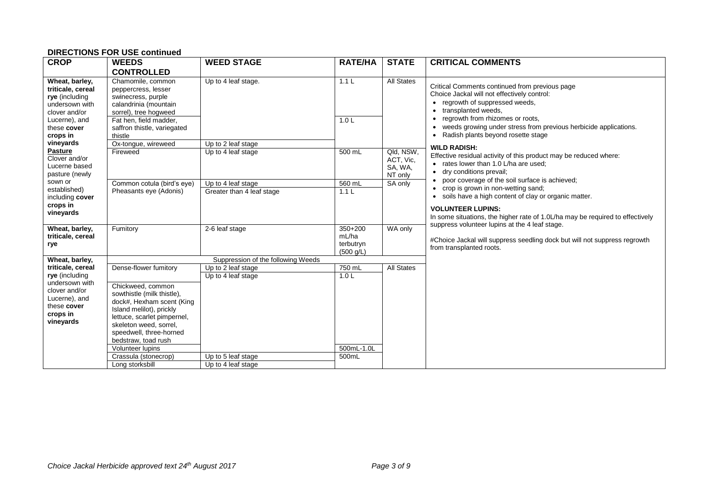#### **DIRECTIONS FOR USE continued**

| <b>CROP</b>                                                                                                                                       | <b>WEEDS</b>                                                                                                                                                                                                                            | <b>WEED STAGE</b>                               | <b>RATE/HA</b>                               | <b>STATE</b>                                 | <b>CRITICAL COMMENTS</b>                                                                                                                                                                                                                                                                                                                                                                                                                                                             |  |
|---------------------------------------------------------------------------------------------------------------------------------------------------|-----------------------------------------------------------------------------------------------------------------------------------------------------------------------------------------------------------------------------------------|-------------------------------------------------|----------------------------------------------|----------------------------------------------|--------------------------------------------------------------------------------------------------------------------------------------------------------------------------------------------------------------------------------------------------------------------------------------------------------------------------------------------------------------------------------------------------------------------------------------------------------------------------------------|--|
|                                                                                                                                                   | <b>CONTROLLED</b>                                                                                                                                                                                                                       |                                                 |                                              |                                              |                                                                                                                                                                                                                                                                                                                                                                                                                                                                                      |  |
| Wheat, barley,<br>triticale, cereal<br>rye (including<br>undersown with<br>clover and/or<br>Lucerne), and<br>these cover<br>crops in<br>vineyards | Chamomile, common<br>peppercress, lesser<br>swinecress, purple<br>calandrinia (mountain<br>sorrel), tree hogweed                                                                                                                        | Up to 4 leaf stage.                             | 1.1L                                         | <b>All States</b>                            | Critical Comments continued from previous page<br>Choice Jackal will not effectively control:<br>• regrowth of suppressed weeds,<br>transplanted weeds,<br>regrowth from rhizomes or roots,<br>weeds growing under stress from previous herbicide applications.<br>Radish plants beyond rosette stage<br>$\bullet$<br><b>WILD RADISH:</b><br>Effective residual activity of this product may be reduced where:<br>• rates lower than 1.0 L/ha are used;<br>• dry conditions prevail; |  |
|                                                                                                                                                   | Fat hen, field madder,<br>saffron thistle, variegated<br>thistle<br>Ox-tongue, wireweed                                                                                                                                                 | Up to 2 leaf stage                              | 1.0 <sub>L</sub>                             |                                              |                                                                                                                                                                                                                                                                                                                                                                                                                                                                                      |  |
| <b>Pasture</b><br>Clover and/or<br>Lucerne based<br>pasture (newly                                                                                | Fireweed                                                                                                                                                                                                                                | Up to 4 leaf stage                              | 500 mL                                       | Qld, NSW,<br>ACT, Vic,<br>SA, WA,<br>NT only |                                                                                                                                                                                                                                                                                                                                                                                                                                                                                      |  |
| sown or<br>established)<br>including cover<br>crops in<br>vineyards                                                                               | Common cotula (bird's eye)<br>Pheasants eye (Adonis)                                                                                                                                                                                    | Up to 4 leaf stage<br>Greater than 4 leaf stage | 560 mL<br>1.1L                               | SA only                                      | • poor coverage of the soil surface is achieved;<br>• crop is grown in non-wetting sand;<br>• soils have a high content of clay or organic matter.<br><b>VOLUNTEER LUPINS:</b><br>In some situations, the higher rate of 1.0L/ha may be required to effectively                                                                                                                                                                                                                      |  |
| Wheat, barley,<br>triticale, cereal<br>rye                                                                                                        | Fumitory                                                                                                                                                                                                                                | 2-6 leaf stage                                  | $350+200$<br>mL/ha<br>terbutryn<br>(500 g/L) | WA only                                      | suppress volunteer lupins at the 4 leaf stage.<br>#Choice Jackal will suppress seedling dock but will not suppress regrowth<br>from transplanted roots.                                                                                                                                                                                                                                                                                                                              |  |
| Wheat, barley,                                                                                                                                    |                                                                                                                                                                                                                                         | Suppression of the following Weeds              |                                              |                                              |                                                                                                                                                                                                                                                                                                                                                                                                                                                                                      |  |
| triticale, cereal<br>rye (including<br>undersown with                                                                                             | Dense-flower fumitory                                                                                                                                                                                                                   | Up to 2 leaf stage<br>$Up$ to 4 leaf stage      | 750 mL<br>1.0 <sub>L</sub>                   | <b>All States</b>                            |                                                                                                                                                                                                                                                                                                                                                                                                                                                                                      |  |
| clover and/or<br>Lucerne), and<br>these cover<br>crops in<br>vineyards                                                                            | Chickweed, common<br>sowthistle (milk thistle),<br>dock#, Hexham scent (King<br>Island melilot), prickly<br>lettuce, scarlet pimpernel,<br>skeleton weed, sorrel,<br>speedwell, three-horned<br>bedstraw, toad rush<br>Volunteer lupins |                                                 | 500mL-1.0L                                   |                                              |                                                                                                                                                                                                                                                                                                                                                                                                                                                                                      |  |
|                                                                                                                                                   | Crassula (stonecrop)<br>Long storksbill                                                                                                                                                                                                 | Up to 5 leaf stage<br>Up to 4 leaf stage        | 500mL                                        |                                              |                                                                                                                                                                                                                                                                                                                                                                                                                                                                                      |  |
|                                                                                                                                                   |                                                                                                                                                                                                                                         |                                                 |                                              |                                              |                                                                                                                                                                                                                                                                                                                                                                                                                                                                                      |  |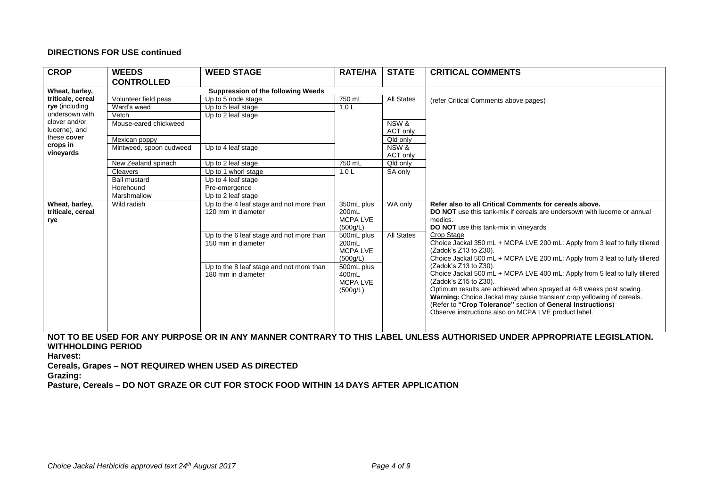#### **DIRECTIONS FOR USE continued**

| <b>CROP</b>             | <b>WEEDS</b>                              | <b>WEED STAGE</b>                        | <b>RATE/HA</b>                          | <b>STATE</b>                                                                    | <b>CRITICAL COMMENTS</b>                                                                                                |
|-------------------------|-------------------------------------------|------------------------------------------|-----------------------------------------|---------------------------------------------------------------------------------|-------------------------------------------------------------------------------------------------------------------------|
|                         | <b>CONTROLLED</b>                         |                                          |                                         |                                                                                 |                                                                                                                         |
| Wheat, barley,          | <b>Suppression of the following Weeds</b> |                                          |                                         |                                                                                 |                                                                                                                         |
| triticale, cereal       | Volunteer field peas                      | Up to 5 node stage                       | $\overline{750}$ mL<br>1.0 <sub>L</sub> | All States                                                                      | (refer Critical Comments above pages)                                                                                   |
| rye (including          | Ward's weed                               | Up to 5 leaf stage                       |                                         |                                                                                 |                                                                                                                         |
| undersown with          | Vetch                                     | Up to 2 leaf stage                       |                                         |                                                                                 |                                                                                                                         |
| clover and/or           | Mouse-eared chickweed                     |                                          |                                         | NSW &                                                                           |                                                                                                                         |
| lucerne), and           |                                           |                                          |                                         | ACT only                                                                        |                                                                                                                         |
| these cover<br>crops in | Mexican poppy                             |                                          |                                         | Qld only                                                                        |                                                                                                                         |
| vineyards               | Mintweed, spoon cudweed                   | Up to 4 leaf stage                       |                                         | NSW &                                                                           |                                                                                                                         |
|                         |                                           |                                          |                                         | <b>ACT only</b>                                                                 |                                                                                                                         |
|                         | New Zealand spinach                       | Up to 2 leaf stage                       | $750$ mL                                | Qld only                                                                        |                                                                                                                         |
|                         | Cleavers                                  | Up to 1 whorl stage                      | 1.0 <sub>L</sub>                        | SA only                                                                         |                                                                                                                         |
|                         | <b>Ball mustard</b>                       | Up to 4 leaf stage                       |                                         |                                                                                 |                                                                                                                         |
|                         | Horehound                                 | Pre-emergence                            |                                         |                                                                                 |                                                                                                                         |
|                         | Marshmallow                               | Up to 2 leaf stage                       |                                         |                                                                                 |                                                                                                                         |
| Wheat, barley,          | Wild radish                               | Up to the 4 leaf stage and not more than | 350mL plus                              | WA only                                                                         | Refer also to all Critical Comments for cereals above.                                                                  |
| triticale, cereal       | 120 mm in diameter                        | 200mL                                    |                                         | <b>DO NOT</b> use this tank-mix if cereals are undersown with lucerne or annual |                                                                                                                         |
| rye                     |                                           |                                          | <b>MCPA LVE</b>                         |                                                                                 | medics.                                                                                                                 |
|                         |                                           |                                          | (500g/L)                                |                                                                                 | DO NOT use this tank-mix in vineyards                                                                                   |
|                         |                                           | Up to the 6 leaf stage and not more than | 500mL plus                              | <b>All States</b>                                                               | Crop Stage                                                                                                              |
|                         |                                           | 150 mm in diameter                       | 200mL<br><b>MCPA LVE</b>                |                                                                                 | Choice Jackal 350 mL + MCPA LVE 200 mL: Apply from 3 leaf to fully tillered                                             |
|                         |                                           |                                          |                                         |                                                                                 | (Zadok's Z13 to Z30).<br>Choice Jackal 500 mL + MCPA LVE 200 mL: Apply from 3 leaf to fully tillered                    |
|                         |                                           | Up to the 8 leaf stage and not more than | (500g/L)<br>500mL plus                  |                                                                                 | (Zadok's Z13 to Z30).                                                                                                   |
|                         |                                           | 180 mm in diameter                       | 400mL                                   |                                                                                 | Choice Jackal 500 mL + MCPA LVE 400 mL: Apply from 5 leaf to fully tillered                                             |
|                         |                                           |                                          | <b>MCPALVE</b>                          |                                                                                 | (Zadok's Z15 to Z30).                                                                                                   |
|                         |                                           |                                          | (500g/L)                                |                                                                                 | Optimum results are achieved when sprayed at 4-8 weeks post sowing.                                                     |
|                         |                                           |                                          |                                         |                                                                                 | Warning: Choice Jackal may cause transient crop yellowing of cereals.                                                   |
|                         |                                           |                                          |                                         |                                                                                 | (Refer to "Crop Tolerance" section of General Instructions)                                                             |
|                         |                                           |                                          |                                         |                                                                                 | Observe instructions also on MCPA LVE product label.                                                                    |
|                         |                                           |                                          |                                         |                                                                                 |                                                                                                                         |
|                         |                                           |                                          |                                         |                                                                                 |                                                                                                                         |
|                         |                                           |                                          |                                         |                                                                                 | HAT TA BE HAER EAR ANV BURBAAE AR IN ANV MANNER AANTRARY TA TULA LAREL UNI FAA AUTHARIAER UNBER ARRRARDIATE LEAIALATIAN |

**NOT TO BE USED FOR ANY PURPOSE OR IN ANY MANNER CONTRARY TO THIS LABEL UNLESS AUTHORISED UNDER APPROPRIATE LEGISLATION. WITHHOLDING PERIOD**

**Harvest:**

**Cereals, Grapes – NOT REQUIRED WHEN USED AS DIRECTED**

**Grazing:**

**Pasture, Cereals – DO NOT GRAZE OR CUT FOR STOCK FOOD WITHIN 14 DAYS AFTER APPLICATION**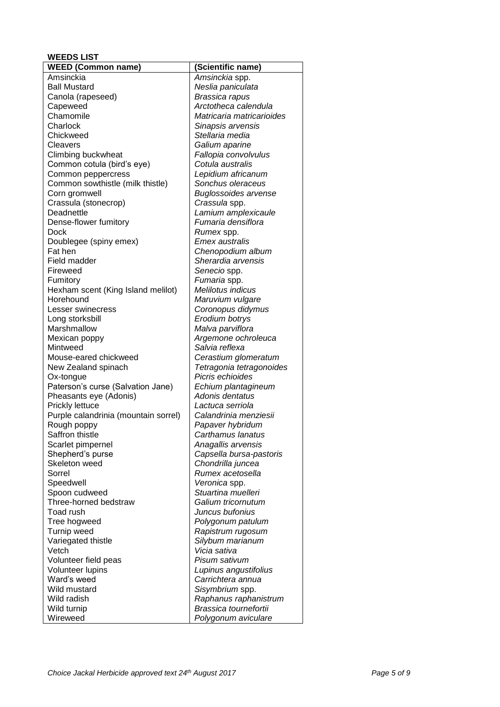#### **WEEDS LIST**

| <b>WEED (Common name)</b>            | (Scientific name)                     |
|--------------------------------------|---------------------------------------|
| Amsinckia                            | Amsinckia spp.                        |
| <b>Ball Mustard</b>                  | Neslia paniculata                     |
| Canola (rapeseed)                    | Brassica rapus                        |
| Capeweed                             | Arctotheca calendula                  |
| Chamomile                            | Matricaria matricarioides             |
| Charlock                             | Sinapsis arvensis                     |
| Chickweed                            | Stellaria media                       |
| Cleavers                             | Galium aparine                        |
| Climbing buckwheat                   | Fallopia convolvulus                  |
| Common cotula (bird's eye)           | Cotula australis                      |
| Common peppercress                   | Lepidium africanum                    |
| Common sowthistle (milk thistle)     | Sonchus oleraceus                     |
| Corn gromwell                        | <b>Buglossoides arvense</b>           |
| Crassula (stonecrop)                 | Crassula spp.                         |
| Deadnettle                           | Lamium amplexicaule                   |
| Dense-flower fumitory                | Fumaria densiflora                    |
| Dock                                 | Rumex spp.                            |
| Doublegee (spiny emex)               | Emex australis                        |
| Fat hen                              | Chenopodium album                     |
| Field madder                         | Sherardia arvensis                    |
| Fireweed                             | Senecio spp.                          |
| Fumitory                             | Fumaria spp.                          |
| Hexham scent (King Island melilot)   | Melilotus indicus                     |
| Horehound                            | Maruvium vulgare                      |
| Lesser swinecress                    | Coronopus didymus                     |
| Long storksbill                      | Erodium botrys                        |
| Marshmallow                          | Malva parviflora                      |
| Mexican poppy<br>Mintweed            | Argemone ochroleuca<br>Salvia reflexa |
| Mouse-eared chickweed                | Cerastium glomeratum                  |
| New Zealand spinach                  | Tetragonia tetragonoides              |
| Ox-tongue                            | Picris echioides                      |
| Paterson's curse (Salvation Jane)    | Echium plantagineum                   |
| Pheasants eye (Adonis)               | Adonis dentatus                       |
| Prickly lettuce                      | Lactuca serriola                      |
| Purple calandrinia (mountain sorrel) | Calandrinia menziesii                 |
| Rough poppy                          | Papaver hybridum                      |
| Saffron thistle                      | Carthamus lanatus                     |
| Scarlet pimpernel                    | Anagallis arvensis                    |
| Shepherd's purse                     | Capsella bursa-pastoris               |
| Skeleton weed                        | Chondrilla juncea                     |
| Sorrel                               | Rumex acetosella                      |
| Speedwell                            | Veronica spp.                         |
| Spoon cudweed                        | Stuartina muelleri                    |
| Three-horned bedstraw                | Galium tricornutum                    |
| Toad rush                            | Juncus bufonius                       |
| Tree hogweed                         | Polygonum patulum                     |
| Turnip weed                          | Rapistrum rugosum                     |
| Variegated thistle                   | Silybum marianum                      |
| Vetch                                | Vicia sativa                          |
| Volunteer field peas                 | Pisum sativum                         |
| <b>Volunteer lupins</b>              | Lupinus angustifolius                 |
| Ward's weed                          | Carrichtera annua                     |
| Wild mustard                         | Sisymbrium spp.                       |
| Wild radish                          | Raphanus raphanistrum                 |
| Wild turnip<br>Wireweed              | Brassica tournefortii                 |
|                                      | Polygonum aviculare                   |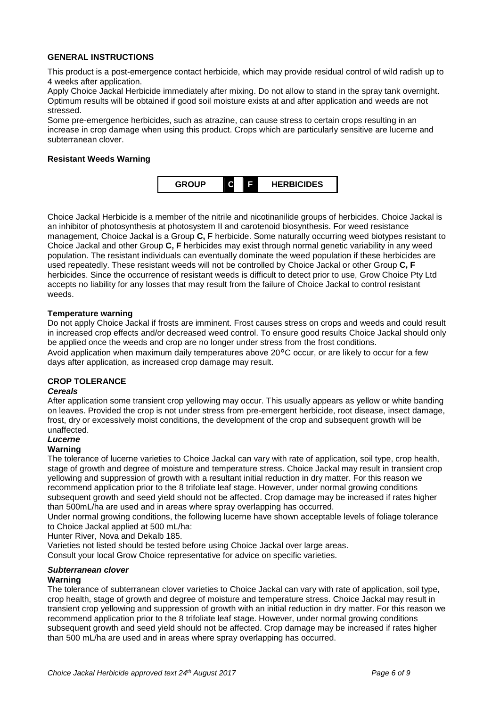#### **GENERAL INSTRUCTIONS**

This product is a post-emergence contact herbicide, which may provide residual control of wild radish up to 4 weeks after application.

Apply Choice Jackal Herbicide immediately after mixing. Do not allow to stand in the spray tank overnight. Optimum results will be obtained if good soil moisture exists at and after application and weeds are not stressed.

Some pre-emergence herbicides, such as atrazine, can cause stress to certain crops resulting in an increase in crop damage when using this product. Crops which are particularly sensitive are lucerne and subterranean clover.

#### **Resistant Weeds Warning**



Choice Jackal Herbicide is a member of the nitrile and nicotinanilide groups of herbicides. Choice Jackal is an inhibitor of photosynthesis at photosystem II and carotenoid biosynthesis. For weed resistance management, Choice Jackal is a Group **C, F** herbicide. Some naturally occurring weed biotypes resistant to Choice Jackal and other Group **C, F** herbicides may exist through normal genetic variability in any weed population. The resistant individuals can eventually dominate the weed population if these herbicides are used repeatedly. These resistant weeds will not be controlled by Choice Jackal or other Group **C, F**  herbicides. Since the occurrence of resistant weeds is difficult to detect prior to use, Grow Choice Pty Ltd accepts no liability for any losses that may result from the failure of Choice Jackal to control resistant weeds.

#### **Temperature warning**

Do not apply Choice Jackal if frosts are imminent. Frost causes stress on crops and weeds and could result in increased crop effects and/or decreased weed control. To ensure good results Choice Jackal should only be applied once the weeds and crop are no longer under stress from the frost conditions. Avoid application when maximum daily temperatures above 20°C occur, or are likely to occur for a few days after application, as increased crop damage may result.

# **CROP TOLERANCE**

#### *Cereals*

After application some transient crop yellowing may occur. This usually appears as yellow or white banding on leaves. Provided the crop is not under stress from pre-emergent herbicide, root disease, insect damage, frost, dry or excessively moist conditions, the development of the crop and subsequent growth will be unaffected.

#### *Lucerne*

#### **Warning**

The tolerance of lucerne varieties to Choice Jackal can vary with rate of application, soil type, crop health, stage of growth and degree of moisture and temperature stress. Choice Jackal may result in transient crop yellowing and suppression of growth with a resultant initial reduction in dry matter. For this reason we recommend application prior to the 8 trifoliate leaf stage. However, under normal growing conditions subsequent growth and seed yield should not be affected. Crop damage may be increased if rates higher than 500mL/ha are used and in areas where spray overlapping has occurred.

Under normal growing conditions, the following lucerne have shown acceptable levels of foliage tolerance to Choice Jackal applied at 500 mL/ha:

Hunter River, Nova and Dekalb 185.

Varieties not listed should be tested before using Choice Jackal over large areas.

Consult your local Grow Choice representative for advice on specific varieties.

#### *Subterranean clover*

#### **Warning**

The tolerance of subterranean clover varieties to Choice Jackal can vary with rate of application, soil type, crop health, stage of growth and degree of moisture and temperature stress. Choice Jackal may result in transient crop yellowing and suppression of growth with an initial reduction in dry matter. For this reason we recommend application prior to the 8 trifoliate leaf stage. However, under normal growing conditions subsequent growth and seed yield should not be affected. Crop damage may be increased if rates higher than 500 mL/ha are used and in areas where spray overlapping has occurred.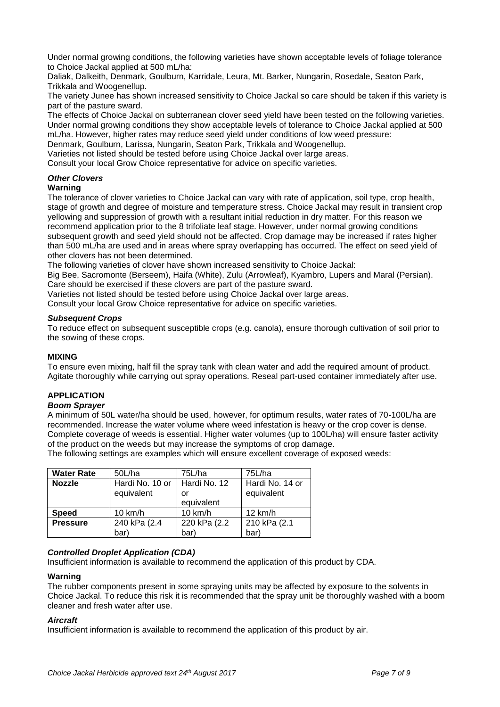Under normal growing conditions, the following varieties have shown acceptable levels of foliage tolerance to Choice Jackal applied at 500 mL/ha:

Daliak, Dalkeith, Denmark, Goulburn, Karridale, Leura, Mt. Barker, Nungarin, Rosedale, Seaton Park, Trikkala and Woogenellup.

The variety Junee has shown increased sensitivity to Choice Jackal so care should be taken if this variety is part of the pasture sward.

The effects of Choice Jackal on subterranean clover seed yield have been tested on the following varieties. Under normal growing conditions they show acceptable levels of tolerance to Choice Jackal applied at 500 mL/ha. However, higher rates may reduce seed yield under conditions of low weed pressure:

Denmark, Goulburn, Larissa, Nungarin, Seaton Park, Trikkala and Woogenellup. Varieties not listed should be tested before using Choice Jackal over large areas.

Consult your local Grow Choice representative for advice on specific varieties.

#### *Other Clovers*

#### **Warning**

The tolerance of clover varieties to Choice Jackal can vary with rate of application, soil type, crop health, stage of growth and degree of moisture and temperature stress. Choice Jackal may result in transient crop yellowing and suppression of growth with a resultant initial reduction in dry matter. For this reason we recommend application prior to the 8 trifoliate leaf stage. However, under normal growing conditions subsequent growth and seed yield should not be affected. Crop damage may be increased if rates higher than 500 mL/ha are used and in areas where spray overlapping has occurred. The effect on seed yield of other clovers has not been determined.

The following varieties of clover have shown increased sensitivity to Choice Jackal:

Big Bee, Sacromonte (Berseem), Haifa (White), Zulu (Arrowleaf), Kyambro, Lupers and Maral (Persian). Care should be exercised if these clovers are part of the pasture sward.

Varieties not listed should be tested before using Choice Jackal over large areas.

Consult your local Grow Choice representative for advice on specific varieties.

#### *Subsequent Crops*

To reduce effect on subsequent susceptible crops (e.g. canola), ensure thorough cultivation of soil prior to the sowing of these crops.

#### **MIXING**

To ensure even mixing, half fill the spray tank with clean water and add the required amount of product. Agitate thoroughly while carrying out spray operations. Reseal part-used container immediately after use.

# **APPLICATION**

#### *Boom Sprayer*

A minimum of 50L water/ha should be used, however, for optimum results, water rates of 70-100L/ha are recommended. Increase the water volume where weed infestation is heavy or the crop cover is dense. Complete coverage of weeds is essential. Higher water volumes (up to 100L/ha) will ensure faster activity of the product on the weeds but may increase the symptoms of crop damage.

The following settings are examples which will ensure excellent coverage of exposed weeds:

| <b>Water Rate</b>                | 50L/ha            | 75L/ha            | 75L/ha           |
|----------------------------------|-------------------|-------------------|------------------|
| Hardi No. 10 or<br><b>Nozzle</b> |                   | Hardi No. 12      | Hardi No. 14 or  |
|                                  | equivalent        | or                | equivalent       |
|                                  |                   | equivalent        |                  |
| <b>Speed</b>                     | $10 \text{ km/h}$ | $10 \text{ km/h}$ | 12 km/h          |
| 240 kPa (2.4<br><b>Pressure</b>  |                   | 220 kPa (2.2      | 210 kPa (2.1     |
|                                  | bar)              | bar)              | bar <sup>'</sup> |

#### *Controlled Droplet Application (CDA)*

Insufficient information is available to recommend the application of this product by CDA.

#### **Warning**

The rubber components present in some spraying units may be affected by exposure to the solvents in Choice Jackal. To reduce this risk it is recommended that the spray unit be thoroughly washed with a boom cleaner and fresh water after use.

#### *Aircraft*

Insufficient information is available to recommend the application of this product by air.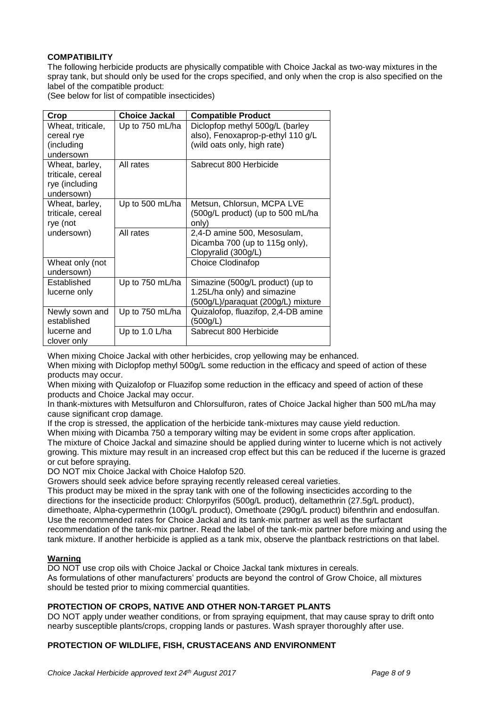#### **COMPATIBILITY**

The following herbicide products are physically compatible with Choice Jackal as two-way mixtures in the spray tank, but should only be used for the crops specified, and only when the crop is also specified on the label of the compatible product:

(See below for list of compatible insecticides)

| Crop                                                                | <b>Choice Jackal</b> | <b>Compatible Product</b>                                                                             |
|---------------------------------------------------------------------|----------------------|-------------------------------------------------------------------------------------------------------|
| Wheat, triticale,<br>cereal rye<br>(including<br>undersown          | Up to 750 mL/ha      | Diclopfop methyl 500g/L (barley<br>also), Fenoxaprop-p-ethyl 110 g/L<br>(wild oats only, high rate)   |
| Wheat, barley,<br>triticale, cereal<br>rye (including<br>undersown) | All rates            | Sabrecut 800 Herbicide                                                                                |
| Wheat, barley,<br>triticale, cereal<br>rye (not                     | Up to 500 mL/ha      | Metsun, Chlorsun, MCPA LVE<br>(500g/L product) (up to 500 mL/ha<br>only)                              |
| undersown)                                                          | All rates            | 2,4-D amine 500, Mesosulam,<br>Dicamba 700 (up to 115g only),<br>Clopyralid (300g/L)                  |
| Wheat only (not<br>undersown)                                       |                      | Choice Clodinafop                                                                                     |
| Established<br>lucerne only                                         | Up to 750 mL/ha      | Simazine (500g/L product) (up to<br>1.25L/ha only) and simazine<br>(500g/L)/paraquat (200g/L) mixture |
| Newly sown and<br>established                                       | Up to 750 mL/ha      | Quizalofop, fluazifop, 2,4-DB amine<br>(500g/L)                                                       |
| lucerne and<br>clover only                                          | Up to 1.0 L/ha       | Sabrecut 800 Herbicide                                                                                |

When mixing Choice Jackal with other herbicides, crop yellowing may be enhanced.

When mixing with Diclopfop methyl 500g/L some reduction in the efficacy and speed of action of these products may occur.

When mixing with Quizalofop or Fluazifop some reduction in the efficacy and speed of action of these products and Choice Jackal may occur.

In thank-mixtures with Metsulfuron and Chlorsulfuron, rates of Choice Jackal higher than 500 mL/ha may cause significant crop damage.

If the crop is stressed, the application of the herbicide tank-mixtures may cause yield reduction. When mixing with Dicamba 750 a temporary wilting may be evident in some crops after application. The mixture of Choice Jackal and simazine should be applied during winter to lucerne which is not actively growing. This mixture may result in an increased crop effect but this can be reduced if the lucerne is grazed or cut before spraying.

DO NOT mix Choice Jackal with Choice Halofop 520.

Growers should seek advice before spraying recently released cereal varieties.

This product may be mixed in the spray tank with one of the following insecticides according to the directions for the insecticide product: Chlorpyrifos (500g/L product), deltamethrin (27.5g/L product), dimethoate, Alpha-cypermethrin (100g/L product), Omethoate (290g/L product) bifenthrin and endosulfan. Use the recommended rates for Choice Jackal and its tank-mix partner as well as the surfactant recommendation of the tank-mix partner. Read the label of the tank-mix partner before mixing and using the tank mixture. If another herbicide is applied as a tank mix, observe the plantback restrictions on that label.

#### **Warning**

DO NOT use crop oils with Choice Jackal or Choice Jackal tank mixtures in cereals. As formulations of other manufacturers' products are beyond the control of Grow Choice, all mixtures should be tested prior to mixing commercial quantities.

#### **PROTECTION OF CROPS, NATIVE AND OTHER NON-TARGET PLANTS**

DO NOT apply under weather conditions, or from spraying equipment, that may cause spray to drift onto nearby susceptible plants/crops, cropping lands or pastures. Wash sprayer thoroughly after use.

#### **PROTECTION OF WILDLIFE, FISH, CRUSTACEANS AND ENVIRONMENT**